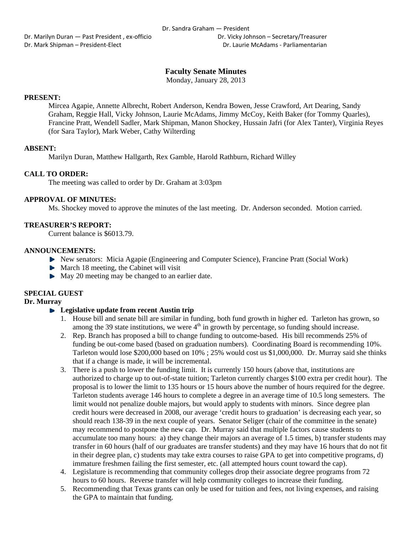Dr. Marilyn Duran — Past President, ex-officio **Britannia Company** Dr. Vicky Johnson – Secretary/Treasurer Dr. Mark Shipman – President‐Elect Dr. Laurie McAdams ‐ Parliamentarian

# **Faculty Senate Minutes**

Monday, January 28, 2013

## **PRESENT:**

Mircea Agapie, Annette Albrecht, Robert Anderson, Kendra Bowen, Jesse Crawford, Art Dearing, Sandy Graham, Reggie Hall, Vicky Johnson, Laurie McAdams, Jimmy McCoy, Keith Baker (for Tommy Quarles), Francine Pratt, Wendell Sadler, Mark Shipman, Manon Shockey, Hussain Jafri (for Alex Tanter), Virginia Reyes (for Sara Taylor), Mark Weber, Cathy Wilterding

## **ABSENT:**

Marilyn Duran, Matthew Hallgarth, Rex Gamble, Harold Rathburn, Richard Willey

## **CALL TO ORDER:**

The meeting was called to order by Dr. Graham at 3:03pm

## **APPROVAL OF MINUTES:**

Ms. Shockey moved to approve the minutes of the last meeting. Dr. Anderson seconded. Motion carried.

## **TREASURER'S REPORT:**

Current balance is \$6013.79.

### **ANNOUNCEMENTS:**

- New senators: Micia Agapie (Engineering and Computer Science), Francine Pratt (Social Work)
- $\blacktriangleright$  March 18 meeting, the Cabinet will visit
- May 20 meeting may be changed to an earlier date.

## **SPECIAL GUEST**

## **Dr. Murray**

## **Legislative update from recent Austin trip**

- 1. House bill and senate bill are similar in funding, both fund growth in higher ed. Tarleton has grown, so among the 39 state institutions, we were  $4<sup>th</sup>$  in growth by percentage, so funding should increase.
- 2. Rep. Branch has proposed a bill to change funding to outcome-based. His bill recommends 25% of funding be out-come based (based on graduation numbers). Coordinating Board is recommending 10%. Tarleton would lose \$200,000 based on 10% ; 25% would cost us \$1,000,000. Dr. Murray said she thinks that if a change is made, it will be incremental.
- 3. There is a push to lower the funding limit. It is currently 150 hours (above that, institutions are authorized to charge up to out-of-state tuition; Tarleton currently charges \$100 extra per credit hour). The proposal is to lower the limit to 135 hours or 15 hours above the number of hours required for the degree. Tarleton students average 146 hours to complete a degree in an average time of 10.5 long semesters. The limit would not penalize double majors, but would apply to students with minors. Since degree plan credit hours were decreased in 2008, our average 'credit hours to graduation' is decreasing each year, so should reach 138-39 in the next couple of years. Senator Seliger (chair of the committee in the senate) may recommend to postpone the new cap. Dr. Murray said that multiple factors cause students to accumulate too many hours: a) they change their majors an average of 1.5 times, b) transfer students may transfer in 60 hours (half of our graduates are transfer students) and they may have 16 hours that do not fit in their degree plan, c) students may take extra courses to raise GPA to get into competitive programs, d) immature freshmen failing the first semester, etc. (all attempted hours count toward the cap).
- 4. Legislature is recommending that community colleges drop their associate degree programs from 72 hours to 60 hours. Reverse transfer will help community colleges to increase their funding.
- 5. Recommending that Texas grants can only be used for tuition and fees, not living expenses, and raising the GPA to maintain that funding.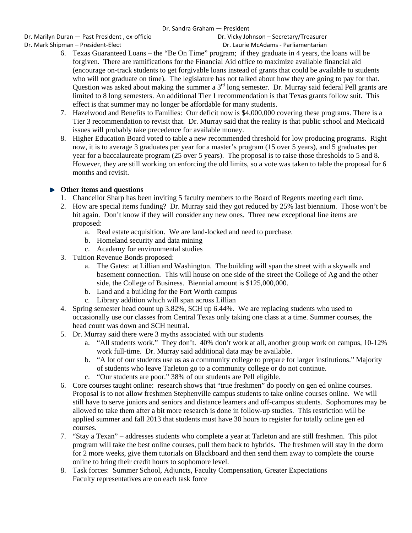## Dr. Sandra Graham — President

Dr. Marilyn Duran — Past President, ex-officio **Britannia Company** Dr. Vicky Johnson – Secretary/Treasurer Dr. Mark Shipman – President‐Elect Dr. Laurie McAdams ‐ Parliamentarian

- 6. Texas Guaranteed Loans the "Be On Time" program; if they graduate in 4 years, the loans will be forgiven. There are ramifications for the Financial Aid office to maximize available financial aid (encourage on-track students to get forgivable loans instead of grants that could be available to students who will not graduate on time). The legislature has not talked about how they are going to pay for that. Question was asked about making the summer a 3<sup>rd</sup> long semester. Dr. Murray said federal Pell grants are limited to 8 long semesters. An additional Tier 1 recommendation is that Texas grants follow suit. This effect is that summer may no longer be affordable for many students.
- 7. Hazelwood and Benefits to Families: Our deficit now is \$4,000,000 covering these programs. There is a Tier 3 recommendation to revisit that. Dr. Murray said that the reality is that public school and Medicaid issues will probably take precedence for available money.
- 8. Higher Education Board voted to table a new recommended threshold for low producing programs. Right now, it is to average 3 graduates per year for a master's program (15 over 5 years), and 5 graduates per year for a baccalaureate program (25 over 5 years). The proposal is to raise those thresholds to 5 and 8. However, they are still working on enforcing the old limits, so a vote was taken to table the proposal for 6 months and revisit.

# **Other items and questions**

- 1. Chancellor Sharp has been inviting 5 faculty members to the Board of Regents meeting each time.
- 2. How are special items funding? Dr. Murray said they got reduced by 25% last biennium. Those won't be hit again. Don't know if they will consider any new ones. Three new exceptional line items are proposed:
	- a. Real estate acquisition. We are land-locked and need to purchase.
	- b. Homeland security and data mining
	- c. Academy for environmental studies
- 3. Tuition Revenue Bonds proposed:
	- a. The Gates: at Lillian and Washington. The building will span the street with a skywalk and basement connection. This will house on one side of the street the College of Ag and the other side, the College of Business. Biennial amount is \$125,000,000.
	- b. Land and a building for the Fort Worth campus
	- c. Library addition which will span across Lillian
- 4. Spring semester head count up 3.82%, SCH up 6.44%. We are replacing students who used to occasionally use our classes from Central Texas only taking one class at a time. Summer courses, the head count was down and SCH neutral.
- 5. Dr. Murray said there were 3 myths associated with our students
	- a. "All students work." They don't. 40% don't work at all, another group work on campus, 10-12% work full-time. Dr. Murray said additional data may be available.
	- b. "A lot of our students use us as a community college to prepare for larger institutions." Majority of students who leave Tarleton go to a community college or do not continue.
	- c. "Our students are poor." 38% of our students are Pell eligible.
- 6. Core courses taught online: research shows that "true freshmen" do poorly on gen ed online courses. Proposal is to not allow freshmen Stephenville campus students to take online courses online. We will still have to serve juniors and seniors and distance learners and off-campus students. Sophomores may be allowed to take them after a bit more research is done in follow-up studies. This restriction will be applied summer and fall 2013 that students must have 30 hours to register for totally online gen ed courses.
- 7. "Stay a Texan" addresses students who complete a year at Tarleton and are still freshmen. This pilot program will take the best online courses, pull them back to hybrids. The freshmen will stay in the dorm for 2 more weeks, give them tutorials on Blackboard and then send them away to complete the course online to bring their credit hours to sophomore level.
- 8. Task forces: Summer School, Adjuncts, Faculty Compensation, Greater Expectations Faculty representatives are on each task force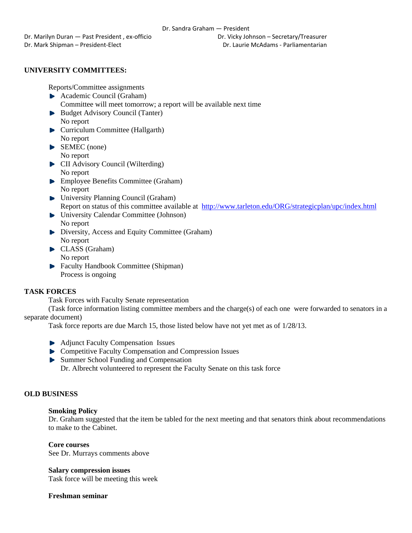# **UNIVERSITY COMMITTEES:**

Reports/Committee assignments

- **Academic Council (Graham)** Committee will meet tomorrow; a report will be available next time
- Budget Advisory Council (Tanter) No report
- **Curriculum Committee (Hallgarth)** No report
- SEMEC (none) No report
- **CII** Advisory Council (Wilterding) No report
- **Employee Benefits Committee (Graham)** No report
- ▶ University Planning Council (Graham) Report on status of this committee available at http://www.tarleton.edu/ORG/strategicplan/upc/index.html
- University Calendar Committee (Johnson) No report
- Diversity, Access and Equity Committee (Graham) No report
- CLASS (Graham) No report
- Faculty Handbook Committee (Shipman) Process is ongoing

# **TASK FORCES**

Task Forces with Faculty Senate representation

(Task force information listing committee members and the charge(s) of each one were forwarded to senators in a separate document)

Task force reports are due March 15, those listed below have not yet met as of 1/28/13.

- **Adjunct Faculty Compensation Issues**
- **EXECOMPETER COMPETER COMPETER COMPLEMENT** Competitive Faculty Compensation and Compression Issues
- ▶ Summer School Funding and Compensation Dr. Albrecht volunteered to represent the Faculty Senate on this task force

# **OLD BUSINESS**

## **Smoking Policy**

Dr. Graham suggested that the item be tabled for the next meeting and that senators think about recommendations to make to the Cabinet.

**Core courses**  See Dr. Murrays comments above

**Salary compression issues** 

Task force will be meeting this week

**Freshman seminar**